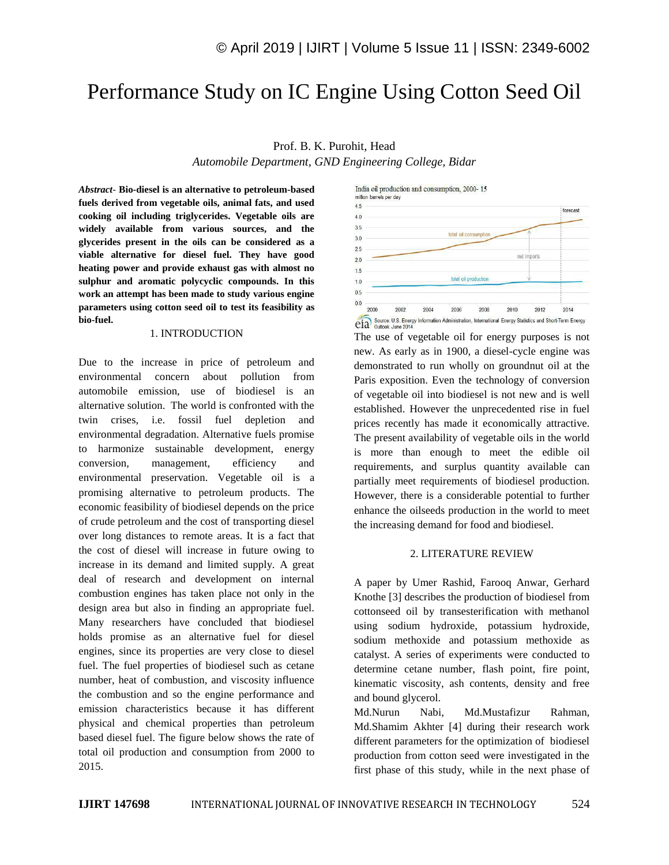# Performance Study on IC Engine Using Cotton Seed Oil

## Prof. B. K. Purohit, Head

*Automobile Department, GND Engineering College, Bidar*

*Abstract*- **Bio-diesel is an alternative to petroleum-based fuels derived from vegetable oils, animal fats, and used cooking oil including triglycerides. Vegetable oils are widely available from various sources, and the glycerides present in the oils can be considered as a viable alternative for diesel fuel. They have good heating power and provide exhaust gas with almost no sulphur and aromatic polycyclic compounds. In this work an attempt has been made to study various engine parameters using cotton seed oil to test its feasibility as bio-fuel.**

## 1. INTRODUCTION

Due to the increase in price of petroleum and environmental concern about pollution from automobile emission, use of biodiesel is an alternative solution. The world is confronted with the twin crises, i.e. fossil fuel depletion and environmental degradation. Alternative fuels promise to harmonize sustainable development, energy conversion, management, efficiency and environmental preservation. Vegetable oil is a promising alternative to petroleum products. The economic feasibility of biodiesel depends on the price of crude petroleum and the cost of transporting diesel over long distances to remote areas. It is a fact that the cost of diesel will increase in future owing to increase in its demand and limited supply. A great deal of research and development on internal combustion engines has taken place not only in the design area but also in finding an appropriate fuel. Many researchers have concluded that biodiesel holds promise as an alternative fuel for diesel engines, since its properties are very close to diesel fuel. The fuel properties of biodiesel such as cetane number, heat of combustion, and viscosity influence the combustion and so the engine performance and emission characteristics because it has different physical and chemical properties than petroleum based diesel fuel. The figure below shows the rate of total oil production and consumption from 2000 to 2015.



The use of vegetable oil for energy purposes is not new. As early as in 1900, a diesel-cycle engine was demonstrated to run wholly on groundnut oil at the Paris exposition. Even the technology of conversion of vegetable oil into biodiesel is not new and is well established. However the unprecedented rise in fuel prices recently has made it economically attractive. The present availability of vegetable oils in the world is more than enough to meet the edible oil requirements, and surplus quantity available can partially meet requirements of biodiesel production. However, there is a considerable potential to further enhance the oilseeds production in the world to meet the increasing demand for food and biodiesel.

### 2. LITERATURE REVIEW

A paper by Umer Rashid, Farooq Anwar, Gerhard Knothe [3] describes the production of biodiesel from cottonseed oil by transesterification with methanol using sodium hydroxide, potassium hydroxide, sodium methoxide and potassium methoxide as catalyst. A series of experiments were conducted to determine cetane number, flash point, fire point, kinematic viscosity, ash contents, density and free and bound glycerol.

Md.Nurun Nabi, Md.Mustafizur Rahman, Md.Shamim Akhter [4] during their research work different parameters for the optimization of biodiesel production from cotton seed were investigated in the first phase of this study, while in the next phase of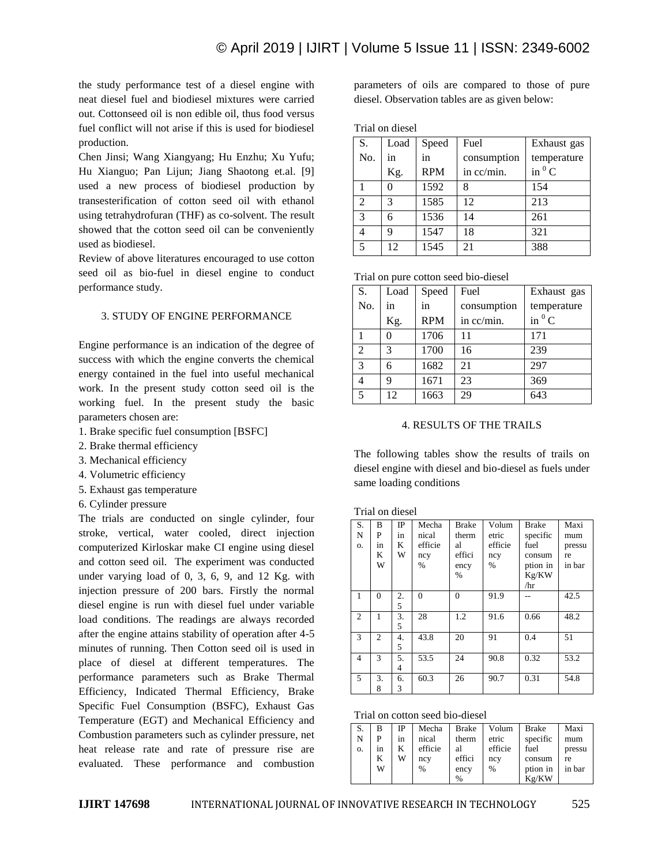the study performance test of a diesel engine with neat diesel fuel and biodiesel mixtures were carried out. Cottonseed oil is non edible oil, thus food versus fuel conflict will not arise if this is used for biodiesel production.

Chen Jinsi; Wang Xiangyang; Hu Enzhu; Xu Yufu; Hu Xianguo; Pan Lijun; Jiang Shaotong et.al. [9] used a new process of biodiesel production by transesterification of cotton seed oil with ethanol using tetrahydrofuran (THF) as co-solvent. The result showed that the cotton seed oil can be conveniently used as biodiesel.

Review of above literatures encouraged to use cotton seed oil as bio-fuel in diesel engine to conduct performance study.

# 3. STUDY OF ENGINE PERFORMANCE

Engine performance is an indication of the degree of success with which the engine converts the chemical energy contained in the fuel into useful mechanical work. In the present study cotton seed oil is the working fuel. In the present study the basic parameters chosen are:

- 1. Brake specific fuel consumption [BSFC]
- 2. Brake thermal efficiency
- 3. Mechanical efficiency
- 4. Volumetric efficiency
- 5. Exhaust gas temperature
- 6. Cylinder pressure

The trials are conducted on single cylinder, four stroke, vertical, water cooled, direct injection computerized Kirloskar make CI engine using diesel and cotton seed oil. The experiment was conducted under varying load of 0, 3, 6, 9, and 12 Kg. with injection pressure of 200 bars. Firstly the normal diesel engine is run with diesel fuel under variable load conditions. The readings are always recorded after the engine attains stability of operation after 4-5 minutes of running. Then Cotton seed oil is used in place of diesel at different temperatures. The performance parameters such as Brake Thermal Efficiency, Indicated Thermal Efficiency, Brake Specific Fuel Consumption (BSFC), Exhaust Gas Temperature (EGT) and Mechanical Efficiency and Combustion parameters such as cylinder pressure, net heat release rate and rate of pressure rise are evaluated. These performance and combustion

parameters of oils are compared to those of pure diesel. Observation tables are as given below:

### Trial on diesel

| S.             | Load | Speed      | Fuel        | Exhaust gas |
|----------------|------|------------|-------------|-------------|
| No.            | in   | in         | consumption | temperature |
|                | Kg.  | <b>RPM</b> | in cc/min.  | in $^0$ C   |
|                |      | 1592       | 8           | 154         |
| $\overline{2}$ | 3    | 1585       | 12          | 213         |
| $\mathcal{R}$  | 6    | 1536       | 14          | 261         |
|                | q    | 1547       | 18          | 321         |
| 5              | 12   | 1545       | 21          | 388         |

|  |  |  | Trial on pure cotton seed bio-diesel |  |  |  |
|--|--|--|--------------------------------------|--|--|--|
|--|--|--|--------------------------------------|--|--|--|

| S.             | Load | Speed      | Fuel        | Exhaust gas   |
|----------------|------|------------|-------------|---------------|
| No.            | in   | in         | consumption | temperature   |
|                | Kg.  | <b>RPM</b> | in cc/min.  | in ${}^{0}$ C |
|                |      | 1706       | 11          | 171           |
| $\mathfrak{D}$ | 3    | 1700       | 16          | 239           |
| 3              | 6    | 1682       | 21          | 297           |
|                | 9    | 1671       | 23          | 369           |
| 5              | 12   | 1663       | 29          | 643           |

### 4. RESULTS OF THE TRAILS

The following tables show the results of trails on diesel engine with diesel and bio-diesel as fuels under same loading conditions

Trial on diesel

| S.<br>N<br>0. | B<br>P<br>in<br>K<br>W | $_{\rm IP}$<br>in<br>K<br>W | Mecha<br>nical<br>efficie<br>ncy<br>$\%$ | <b>Brake</b><br>therm<br>al<br>effici<br>ency | Volum<br>etric<br>efficie<br>ncy<br>$\%$ | <b>Brake</b><br>specific<br>fuel<br>consum<br>ption in | Maxi<br>mum<br>pressu<br>re<br>in bar |
|---------------|------------------------|-----------------------------|------------------------------------------|-----------------------------------------------|------------------------------------------|--------------------------------------------------------|---------------------------------------|
|               |                        |                             |                                          | $\%$                                          |                                          | Kg/KW<br>/hr                                           |                                       |
| 1             | $\Omega$               | 2.<br>5                     | $\Omega$                                 | $\Omega$                                      | 91.9                                     |                                                        | 42.5                                  |
| 2             | 1                      | 3.<br>5                     | 28                                       | 1.2                                           | 91.6                                     | 0.66                                                   | 48.2                                  |
| 3             | $\overline{c}$         | 4.<br>5                     | 43.8                                     | 20                                            | 91                                       | 0.4                                                    | 51                                    |
| 4             | 3                      | 5.<br>4                     | 53.5                                     | 24                                            | 90.8                                     | 0.32                                                   | 53.2                                  |
| 5             | 3.<br>8                | 6.<br>3                     | 60.3                                     | 26                                            | 90.7                                     | 0.31                                                   | 54.8                                  |

| Trial on cotton seed bio-diesel |  |
|---------------------------------|--|
|---------------------------------|--|

| S. | в  | IP | Mecha         | <b>Brake</b> | Volum   | <b>Brake</b> | Maxi   |
|----|----|----|---------------|--------------|---------|--------------|--------|
| N  | P  | in | nical         | therm        | etric   | specific     | mum    |
| 0. | in | K  | efficie       | al           | efficie | fuel         | pressu |
|    | K  | W  | ncy           | effici       | ncy     | consum       | re     |
|    | W  |    | $\frac{0}{0}$ | ency         | %       | ption in     | in bar |
|    |    |    |               | %            |         | Kg/KW        |        |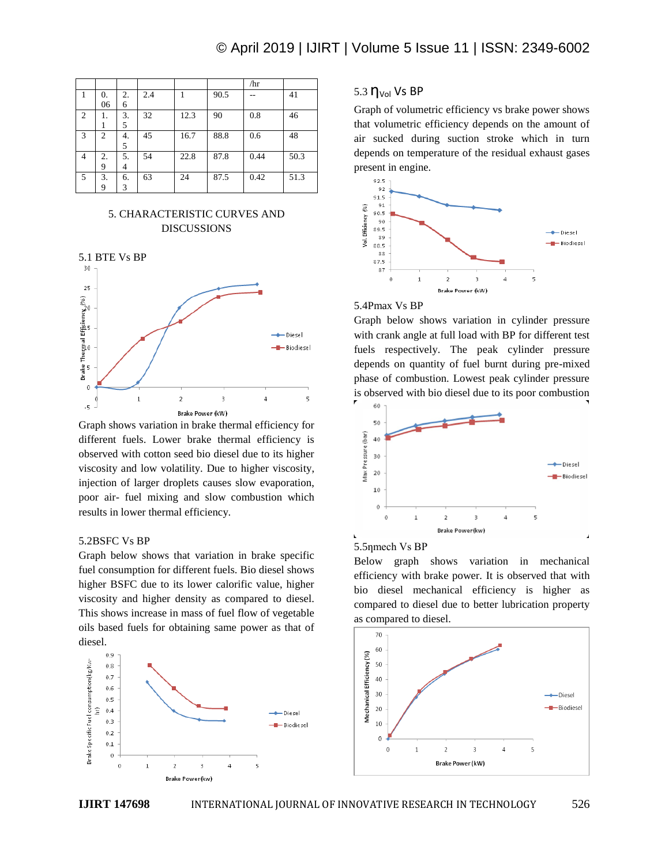|                |                |    |     |      |      | /hr  |      |
|----------------|----------------|----|-----|------|------|------|------|
|                | 0.             | 2. | 2.4 |      | 90.5 | --   | 41   |
|                | 06             | 6  |     |      |      |      |      |
| $\overline{c}$ |                | 3. | 32  | 12.3 | 90   | 0.8  | 46   |
|                |                | 5  |     |      |      |      |      |
| 3              | $\overline{c}$ | 4. | 45  | 16.7 | 88.8 | 0.6  | 48   |
|                |                | 5  |     |      |      |      |      |
| $\overline{4}$ | 2.             | 5. | 54  | 22.8 | 87.8 | 0.44 | 50.3 |
|                | 9              | 4  |     |      |      |      |      |
| .5             | 3.             | 6. | 63  | 24   | 87.5 | 0.42 | 51.3 |
|                | 9              | 3  |     |      |      |      |      |

# 5. CHARACTERISTIC CURVES AND DISCUSSIONS



Graph shows variation in brake thermal efficiency for different fuels. Lower brake thermal efficiency is observed with cotton seed bio diesel due to its higher viscosity and low volatility. Due to higher viscosity, injection of larger droplets causes slow evaporation, poor air- fuel mixing and slow combustion which results in lower thermal efficiency.

## 5.2BSFC Vs BP

Graph below shows that variation in brake specific fuel consumption for different fuels. Bio diesel shows higher BSFC due to its lower calorific value, higher viscosity and higher density as compared to diesel. This shows increase in mass of fuel flow of vegetable oils based fuels for obtaining same power as that of diesel.



# 5.3  $\eta_{\text{Vol}}$  Vs BP

Graph of volumetric efficiency vs brake power shows that volumetric efficiency depends on the amount of air sucked during suction stroke which in turn depends on temperature of the residual exhaust gases present in engine.



# 5.4Pmax Vs BP

Graph below shows variation in cylinder pressure with crank angle at full load with BP for different test fuels respectively. The peak cylinder pressure depends on quantity of fuel burnt during pre-mixed phase of combustion. Lowest peak cylinder pressure is observed with bio diesel due to its poor combustion



### 5.5<sub>nmech</sub> V<sub>s</sub> BP

Below graph shows variation in mechanical efficiency with brake power. It is observed that with bio diesel mechanical efficiency is higher as compared to diesel due to better lubrication property as compared to diesel.